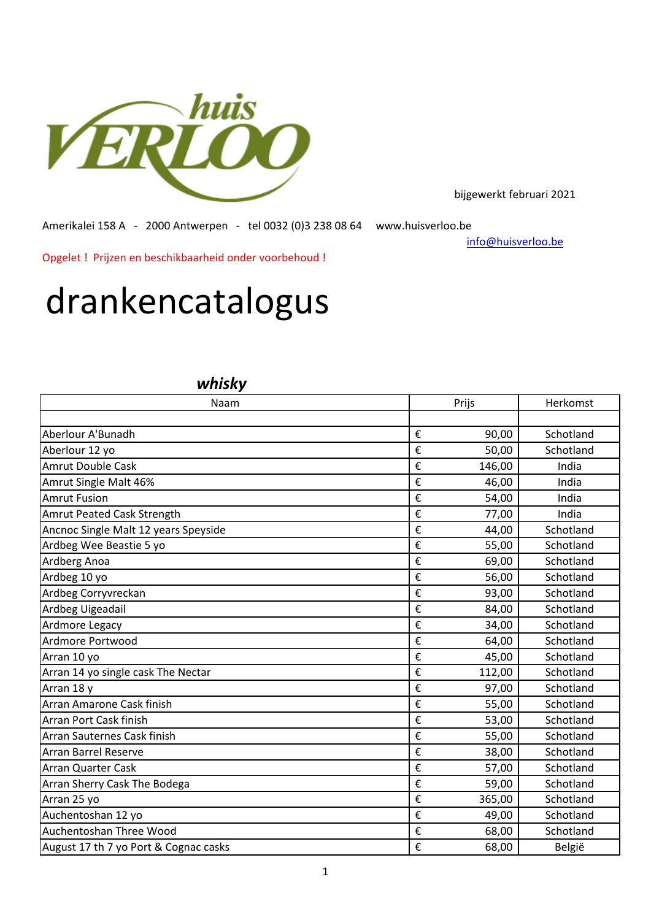

bijgewerkt februari 2021

Amerikalei 158 A - 2000 Antwerpen - tel 0032 (0)3 238 08 64 www.huisverloo.be

[info@huisv](mailto:info@huisverloo.be)erloo.be

Opgelet ! Prijzen en beschikbaarheid onder voorbehoud !

## drankencatalogus

## *whisky*

| Naam                                  |   | Prijs  | Herkomst  |  |
|---------------------------------------|---|--------|-----------|--|
|                                       |   |        |           |  |
| Aberlour A'Bunadh                     | € | 90,00  | Schotland |  |
| Aberlour 12 yo                        | € | 50,00  | Schotland |  |
| Amrut Double Cask                     | € | 146,00 | India     |  |
| Amrut Single Malt 46%                 | € | 46,00  | India     |  |
| <b>Amrut Fusion</b>                   | € | 54,00  | India     |  |
| Amrut Peated Cask Strength            | € | 77,00  | India     |  |
| Ancnoc Single Malt 12 years Speyside  | € | 44,00  | Schotland |  |
| Ardbeg Wee Beastie 5 yo               | € | 55,00  | Schotland |  |
| Ardberg Anoa                          | € | 69,00  | Schotland |  |
| Ardbeg 10 yo                          | € | 56,00  | Schotland |  |
| Ardbeg Corryvreckan                   | € | 93,00  | Schotland |  |
| Ardbeg Uigeadail                      | € | 84,00  | Schotland |  |
| Ardmore Legacy                        | € | 34,00  | Schotland |  |
| Ardmore Portwood                      | € | 64,00  | Schotland |  |
| Arran 10 yo                           | € | 45,00  | Schotland |  |
| Arran 14 yo single cask The Nectar    | € | 112,00 | Schotland |  |
| Arran 18 y                            | € | 97,00  | Schotland |  |
| Arran Amarone Cask finish             | € | 55,00  | Schotland |  |
| Arran Port Cask finish                | € | 53,00  | Schotland |  |
| Arran Sauternes Cask finish           | € | 55,00  | Schotland |  |
| <b>Arran Barrel Reserve</b>           | € | 38,00  | Schotland |  |
| <b>Arran Quarter Cask</b>             | € | 57,00  | Schotland |  |
| Arran Sherry Cask The Bodega          | € | 59,00  | Schotland |  |
| Arran 25 yo                           | € | 365,00 | Schotland |  |
| Auchentoshan 12 yo                    | € | 49,00  | Schotland |  |
| Auchentoshan Three Wood               | € | 68,00  | Schotland |  |
| August 17 th 7 yo Port & Cognac casks | € | 68,00  | België    |  |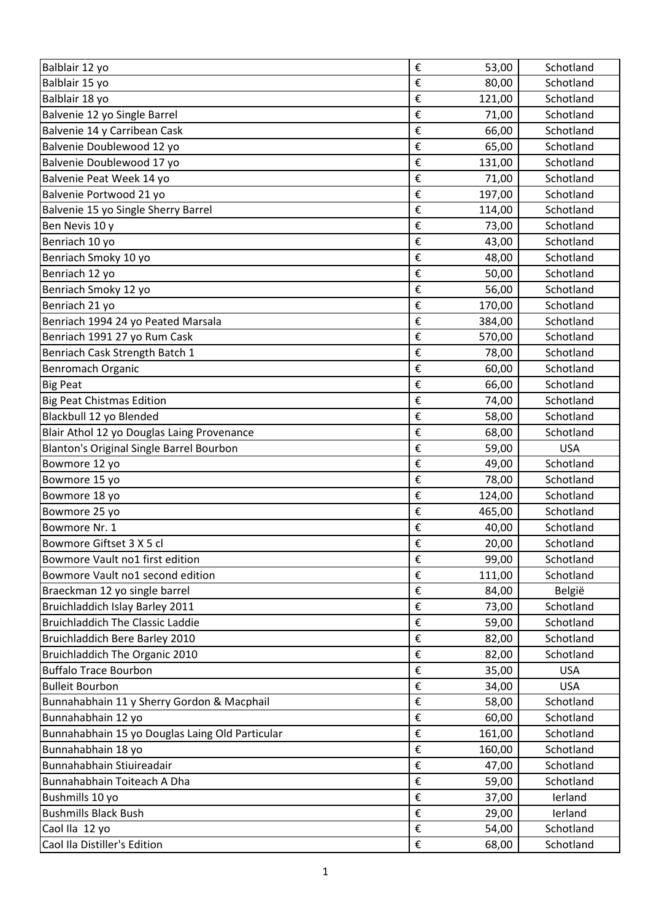| Balblair 12 yo                                  | €                       | 53,00          | Schotland              |
|-------------------------------------------------|-------------------------|----------------|------------------------|
| Balblair 15 yo                                  | €                       | 80,00          | Schotland              |
| Balblair 18 yo                                  | €                       | 121,00         | Schotland              |
| Balvenie 12 yo Single Barrel                    | €                       | 71,00          | Schotland              |
| Balvenie 14 y Carribean Cask                    | €                       | 66,00          | Schotland              |
| Balvenie Doublewood 12 yo                       | €                       | 65,00          | Schotland              |
| Balvenie Doublewood 17 yo                       | €                       | 131,00         | Schotland              |
| Balvenie Peat Week 14 yo                        | €                       | 71,00          | Schotland              |
| Balvenie Portwood 21 yo                         | €                       | 197,00         | Schotland              |
| Balvenie 15 yo Single Sherry Barrel             | €                       | 114,00         | Schotland              |
| Ben Nevis 10 y                                  | €                       | 73,00          | Schotland              |
| Benriach 10 yo                                  | €                       | 43,00          | Schotland              |
| Benriach Smoky 10 yo                            | €                       | 48,00          | Schotland              |
| Benriach 12 yo                                  | €                       | 50,00          | Schotland              |
| Benriach Smoky 12 yo                            | €                       | 56,00          | Schotland              |
| Benriach 21 yo                                  | €                       | 170,00         | Schotland              |
| Benriach 1994 24 yo Peated Marsala              | €                       | 384,00         | Schotland              |
| Benriach 1991 27 yo Rum Cask                    | €                       | 570,00         | Schotland              |
| Benriach Cask Strength Batch 1                  | €                       | 78,00          | Schotland              |
| Benromach Organic                               | €                       | 60,00          | Schotland              |
| <b>Big Peat</b>                                 | €                       | 66,00          | Schotland              |
| <b>Big Peat Chistmas Edition</b>                | €                       | 74,00          | Schotland              |
| Blackbull 12 yo Blended                         | €                       | 58,00          | Schotland              |
| Blair Athol 12 yo Douglas Laing Provenance      | €                       | 68,00          | Schotland              |
| Blanton's Original Single Barrel Bourbon        | €                       | 59,00          | <b>USA</b>             |
| Bowmore 12 yo                                   | €                       | 49,00          | Schotland              |
|                                                 |                         |                |                        |
| Bowmore 15 yo                                   | €                       | 78,00          | Schotland              |
| Bowmore 18 yo                                   | €                       | 124,00         | Schotland              |
| Bowmore 25 yo                                   | €                       | 465,00         | Schotland              |
| Bowmore Nr. 1                                   | €                       | 40,00          | Schotland              |
| Bowmore Giftset 3 X 5 cl                        | €                       | 20,00          | Schotland              |
| Bowmore Vault no1 first edition                 | €                       | 99,00          | Schotland              |
| Bowmore Vault no1 second edition                | $\boldsymbol{\epsilon}$ | 111,00         | Schotland              |
| Braeckman 12 yo single barrel                   | €                       | 84,00          | België                 |
| Bruichladdich Islay Barley 2011                 | €                       | 73,00          | Schotland              |
| <b>Bruichladdich The Classic Laddie</b>         | €                       | 59,00          | Schotland              |
| Bruichladdich Bere Barley 2010                  | €                       | 82,00          | Schotland              |
| Bruichladdich The Organic 2010                  | €                       | 82,00          | Schotland              |
| <b>Buffalo Trace Bourbon</b>                    | €                       | 35,00          | <b>USA</b>             |
| <b>Bulleit Bourbon</b>                          | €                       | 34,00          | <b>USA</b>             |
| Bunnahabhain 11 y Sherry Gordon & Macphail      | €                       | 58,00          | Schotland              |
| Bunnahabhain 12 yo                              | €                       | 60,00          | Schotland              |
| Bunnahabhain 15 yo Douglas Laing Old Particular | €                       | 161,00         | Schotland              |
| Bunnahabhain 18 yo                              | €                       | 160,00         | Schotland              |
| Bunnahabhain Stiuireadair                       | $\boldsymbol{\epsilon}$ | 47,00          | Schotland              |
| Bunnahabhain Toiteach A Dha                     | €                       | 59,00          | Schotland              |
| Bushmills 10 yo                                 | €                       | 37,00          | lerland                |
| <b>Bushmills Black Bush</b>                     | €                       | 29,00          | lerland                |
| Caol Ila 12 yo<br>Caol Ila Distiller's Edition  | €<br>€                  | 54,00<br>68,00 | Schotland<br>Schotland |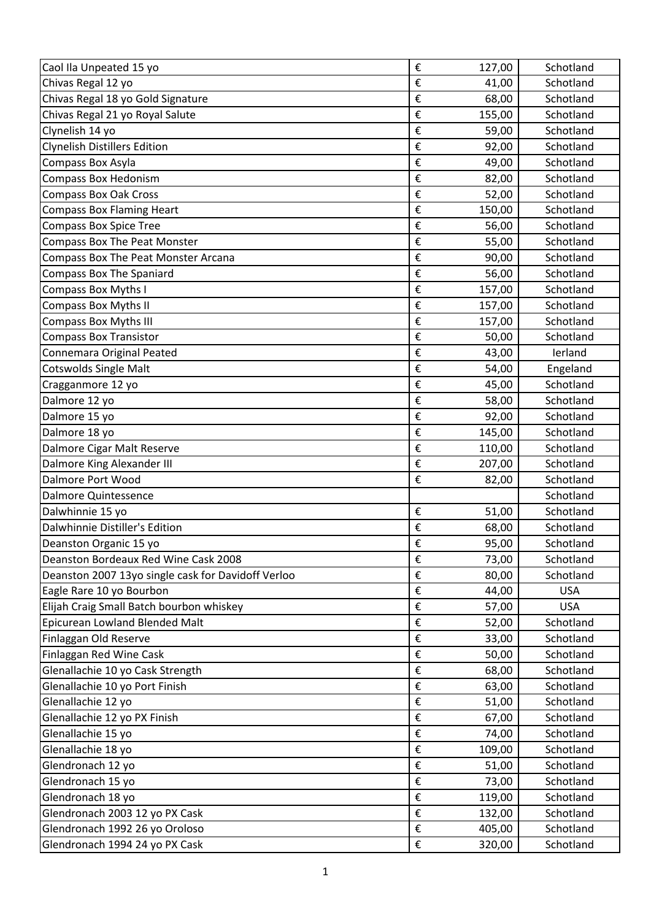| Caol Ila Unpeated 15 yo                            | €                       | 127,00 | Schotland  |
|----------------------------------------------------|-------------------------|--------|------------|
| Chivas Regal 12 yo                                 | €                       | 41,00  | Schotland  |
| Chivas Regal 18 yo Gold Signature                  | €                       | 68,00  | Schotland  |
| Chivas Regal 21 yo Royal Salute                    | €                       | 155,00 | Schotland  |
| Clynelish 14 yo                                    | €                       | 59,00  | Schotland  |
| <b>Clynelish Distillers Edition</b>                | €                       | 92,00  | Schotland  |
| Compass Box Asyla                                  | €                       | 49,00  | Schotland  |
| <b>Compass Box Hedonism</b>                        | €                       | 82,00  | Schotland  |
| <b>Compass Box Oak Cross</b>                       | €                       | 52,00  | Schotland  |
| <b>Compass Box Flaming Heart</b>                   | €                       | 150,00 | Schotland  |
| <b>Compass Box Spice Tree</b>                      | €                       | 56,00  | Schotland  |
| <b>Compass Box The Peat Monster</b>                | €                       | 55,00  | Schotland  |
| <b>Compass Box The Peat Monster Arcana</b>         | €                       | 90,00  | Schotland  |
| <b>Compass Box The Spaniard</b>                    | €                       | 56,00  | Schotland  |
| <b>Compass Box Myths I</b>                         | €                       | 157,00 | Schotland  |
| <b>Compass Box Myths II</b>                        | €                       | 157,00 | Schotland  |
| <b>Compass Box Myths III</b>                       | €                       | 157,00 | Schotland  |
| <b>Compass Box Transistor</b>                      | €                       | 50,00  | Schotland  |
| Connemara Original Peated                          | €                       | 43,00  | lerland    |
| <b>Cotswolds Single Malt</b>                       | €                       | 54,00  | Engeland   |
| Cragganmore 12 yo                                  | €                       | 45,00  | Schotland  |
| Dalmore 12 yo                                      | €                       | 58,00  | Schotland  |
| Dalmore 15 yo                                      | €                       | 92,00  | Schotland  |
| Dalmore 18 yo                                      | €                       | 145,00 | Schotland  |
| Dalmore Cigar Malt Reserve                         | €                       | 110,00 | Schotland  |
| Dalmore King Alexander III                         | €                       | 207,00 | Schotland  |
| Dalmore Port Wood                                  | €                       | 82,00  | Schotland  |
| Dalmore Quintessence                               |                         |        | Schotland  |
| Dalwhinnie 15 yo                                   | €                       | 51,00  | Schotland  |
| Dalwhinnie Distiller's Edition                     | €                       | 68,00  | Schotland  |
| Deanston Organic 15 yo                             | €                       | 95,00  | Schotland  |
| Deanston Bordeaux Red Wine Cask 2008               | €                       | 73,00  | Schotland  |
| Deanston 2007 13yo single cask for Davidoff Verloo | €                       | 80,00  | Schotland  |
| Eagle Rare 10 yo Bourbon                           | €                       | 44,00  | <b>USA</b> |
| Elijah Craig Small Batch bourbon whiskey           | €                       | 57,00  | <b>USA</b> |
| Epicurean Lowland Blended Malt                     | €                       | 52,00  | Schotland  |
| Finlaggan Old Reserve                              | €                       | 33,00  | Schotland  |
| Finlaggan Red Wine Cask                            | €                       | 50,00  | Schotland  |
| Glenallachie 10 yo Cask Strength                   | €                       | 68,00  | Schotland  |
| Glenallachie 10 yo Port Finish                     | €                       | 63,00  | Schotland  |
| Glenallachie 12 yo                                 | €                       | 51,00  | Schotland  |
| Glenallachie 12 yo PX Finish                       | €                       | 67,00  | Schotland  |
| Glenallachie 15 yo                                 | €                       | 74,00  | Schotland  |
| Glenallachie 18 yo                                 | €                       | 109,00 | Schotland  |
| Glendronach 12 yo                                  | €                       | 51,00  | Schotland  |
| Glendronach 15 yo                                  | €                       | 73,00  | Schotland  |
| Glendronach 18 yo                                  | €                       | 119,00 | Schotland  |
| Glendronach 2003 12 yo PX Cask                     | €                       | 132,00 | Schotland  |
| Glendronach 1992 26 yo Oroloso                     | €                       | 405,00 | Schotland  |
| Glendronach 1994 24 yo PX Cask                     | $\boldsymbol{\epsilon}$ | 320,00 | Schotland  |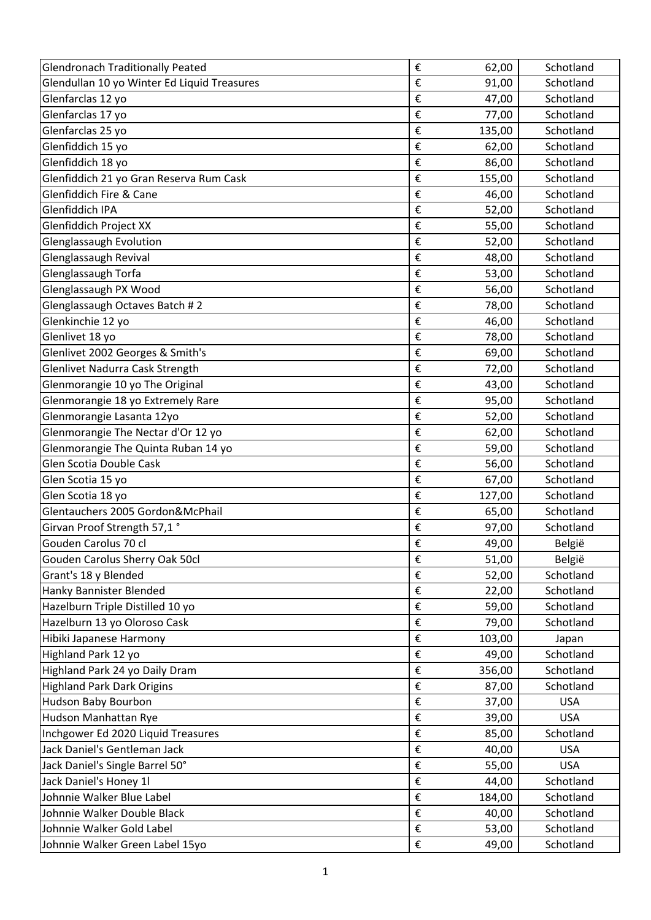| <b>Glendronach Traditionally Peated</b>     | €                       | 62,00  | Schotland  |
|---------------------------------------------|-------------------------|--------|------------|
| Glendullan 10 yo Winter Ed Liquid Treasures | €                       | 91,00  | Schotland  |
| Glenfarclas 12 yo                           | €                       | 47,00  | Schotland  |
| Glenfarclas 17 yo                           | €                       | 77,00  | Schotland  |
| Glenfarclas 25 yo                           | €                       | 135,00 | Schotland  |
| Glenfiddich 15 yo                           | €                       | 62,00  | Schotland  |
| Glenfiddich 18 yo                           | €                       | 86,00  | Schotland  |
| Glenfiddich 21 yo Gran Reserva Rum Cask     | €                       | 155,00 | Schotland  |
| <b>Glenfiddich Fire &amp; Cane</b>          | €                       | 46,00  | Schotland  |
| Glenfiddich IPA                             | €                       | 52,00  | Schotland  |
| <b>Glenfiddich Project XX</b>               | €                       | 55,00  | Schotland  |
| Glenglassaugh Evolution                     | €                       | 52,00  | Schotland  |
| Glenglassaugh Revival                       | €                       | 48,00  | Schotland  |
| Glenglassaugh Torfa                         | €                       | 53,00  | Schotland  |
| Glenglassaugh PX Wood                       | €                       | 56,00  | Schotland  |
| Glenglassaugh Octaves Batch #2              | €                       | 78,00  | Schotland  |
| Glenkinchie 12 yo                           | €                       | 46,00  | Schotland  |
| Glenlivet 18 yo                             | €                       | 78,00  | Schotland  |
| Glenlivet 2002 Georges & Smith's            | €                       | 69,00  | Schotland  |
| Glenlivet Nadurra Cask Strength             | €                       | 72,00  | Schotland  |
| Glenmorangie 10 yo The Original             | €                       | 43,00  | Schotland  |
| Glenmorangie 18 yo Extremely Rare           | €                       | 95,00  | Schotland  |
| Glenmorangie Lasanta 12yo                   | €                       | 52,00  | Schotland  |
| Glenmorangie The Nectar d'Or 12 yo          | €                       | 62,00  | Schotland  |
| Glenmorangie The Quinta Ruban 14 yo         | €                       | 59,00  | Schotland  |
| Glen Scotia Double Cask                     | €                       | 56,00  | Schotland  |
| Glen Scotia 15 yo                           | €                       | 67,00  | Schotland  |
| Glen Scotia 18 yo                           | €                       | 127,00 | Schotland  |
| Glentauchers 2005 Gordon&McPhail            | €                       | 65,00  | Schotland  |
| Girvan Proof Strength 57,1°                 | €                       | 97,00  | Schotland  |
| Gouden Carolus 70 cl                        | €                       | 49,00  | België     |
| Gouden Carolus Sherry Oak 50cl              | €                       | 51,00  | België     |
| Grant's 18 y Blended                        | €                       | 52,00  | Schotland  |
| Hanky Bannister Blended                     | €                       | 22,00  | Schotland  |
| Hazelburn Triple Distilled 10 yo            | €                       | 59,00  | Schotland  |
| Hazelburn 13 yo Oloroso Cask                | €                       | 79,00  | Schotland  |
| Hibiki Japanese Harmony                     | €                       | 103,00 | Japan      |
| Highland Park 12 yo                         | €                       | 49,00  | Schotland  |
| Highland Park 24 yo Daily Dram              | €                       | 356,00 | Schotland  |
| <b>Highland Park Dark Origins</b>           | €                       | 87,00  | Schotland  |
| Hudson Baby Bourbon                         | €                       | 37,00  | <b>USA</b> |
| Hudson Manhattan Rye                        | €                       | 39,00  | <b>USA</b> |
| Inchgower Ed 2020 Liquid Treasures          | €                       | 85,00  | Schotland  |
| Jack Daniel's Gentleman Jack                | €                       | 40,00  | <b>USA</b> |
| Jack Daniel's Single Barrel 50°             | €                       | 55,00  | <b>USA</b> |
| Jack Daniel's Honey 1l                      | €                       | 44,00  | Schotland  |
| Johnnie Walker Blue Label                   | €                       | 184,00 | Schotland  |
| Johnnie Walker Double Black                 | €                       | 40,00  | Schotland  |
| Johnnie Walker Gold Label                   | $\boldsymbol{\epsilon}$ | 53,00  | Schotland  |
| Johnnie Walker Green Label 15yo             | $\boldsymbol{\epsilon}$ | 49,00  | Schotland  |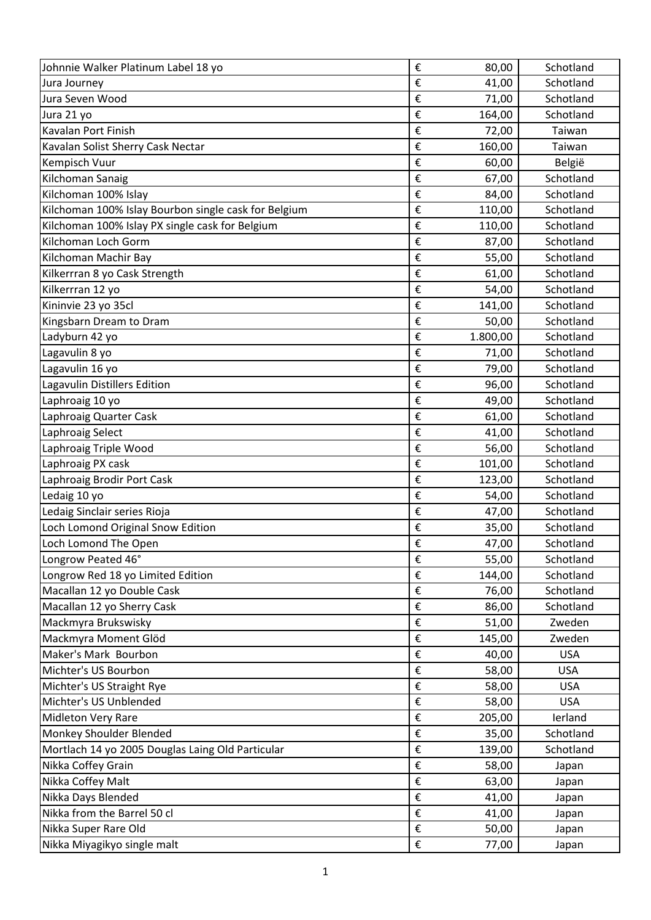| Johnnie Walker Platinum Label 18 yo                  | €                       | 80,00    | Schotland  |
|------------------------------------------------------|-------------------------|----------|------------|
| Jura Journey                                         | €                       | 41,00    | Schotland  |
| Jura Seven Wood                                      | €                       | 71,00    | Schotland  |
| Jura 21 yo                                           | €                       | 164,00   | Schotland  |
| Kavalan Port Finish                                  | €                       | 72,00    | Taiwan     |
| Kavalan Solist Sherry Cask Nectar                    | €                       | 160,00   | Taiwan     |
| Kempisch Vuur                                        | €                       | 60,00    | België     |
| Kilchoman Sanaig                                     | €                       | 67,00    | Schotland  |
| Kilchoman 100% Islay                                 | €                       | 84,00    | Schotland  |
| Kilchoman 100% Islay Bourbon single cask for Belgium | €                       | 110,00   | Schotland  |
| Kilchoman 100% Islay PX single cask for Belgium      | €                       | 110,00   | Schotland  |
| Kilchoman Loch Gorm                                  | €                       | 87,00    | Schotland  |
| Kilchoman Machir Bay                                 | €                       | 55,00    | Schotland  |
| Kilkerrran 8 yo Cask Strength                        | €                       | 61,00    | Schotland  |
| Kilkerrran 12 yo                                     | €                       | 54,00    | Schotland  |
| Kininvie 23 yo 35cl                                  | €                       | 141,00   | Schotland  |
| Kingsbarn Dream to Dram                              | €                       | 50,00    | Schotland  |
| Ladyburn 42 yo                                       | €                       | 1.800,00 | Schotland  |
| Lagavulin 8 yo                                       | €                       | 71,00    | Schotland  |
| Lagavulin 16 yo                                      | €                       | 79,00    | Schotland  |
| Lagavulin Distillers Edition                         | €                       | 96,00    | Schotland  |
| Laphroaig 10 yo                                      | €                       | 49,00    | Schotland  |
| Laphroaig Quarter Cask                               | €                       | 61,00    | Schotland  |
| Laphroaig Select                                     | €                       | 41,00    | Schotland  |
| Laphroaig Triple Wood                                | €                       | 56,00    | Schotland  |
| Laphroaig PX cask                                    | €                       | 101,00   | Schotland  |
| Laphroaig Brodir Port Cask                           | €                       | 123,00   | Schotland  |
| Ledaig 10 yo                                         | €                       | 54,00    | Schotland  |
| Ledaig Sinclair series Rioja                         | €                       | 47,00    | Schotland  |
| Loch Lomond Original Snow Edition                    | €                       | 35,00    | Schotland  |
| Loch Lomond The Open                                 | €                       | 47,00    | Schotland  |
| Longrow Peated 46°                                   | $\boldsymbol{\epsilon}$ | 55,00    | Schotland  |
| Longrow Red 18 yo Limited Edition                    | $\boldsymbol{\epsilon}$ | 144,00   | Schotland  |
| Macallan 12 yo Double Cask                           | $\boldsymbol{\epsilon}$ | 76,00    | Schotland  |
| Macallan 12 yo Sherry Cask                           | €                       | 86,00    | Schotland  |
| Mackmyra Brukswisky                                  | €                       | 51,00    | Zweden     |
| Mackmyra Moment Glöd                                 | $\boldsymbol{\epsilon}$ | 145,00   | Zweden     |
| Maker's Mark Bourbon                                 | €                       | 40,00    | <b>USA</b> |
| Michter's US Bourbon                                 | $\boldsymbol{\epsilon}$ | 58,00    | <b>USA</b> |
| Michter's US Straight Rye                            | $\boldsymbol{\epsilon}$ | 58,00    | <b>USA</b> |
| Michter's US Unblended                               | €                       | 58,00    | <b>USA</b> |
| Midleton Very Rare                                   | €                       | 205,00   | lerland    |
| Monkey Shoulder Blended                              | €                       | 35,00    | Schotland  |
| Mortlach 14 yo 2005 Douglas Laing Old Particular     | $\boldsymbol{\epsilon}$ | 139,00   | Schotland  |
| Nikka Coffey Grain                                   | $\pmb{\epsilon}$        | 58,00    | Japan      |
| Nikka Coffey Malt                                    | €                       | 63,00    | Japan      |
| Nikka Days Blended                                   | €                       | 41,00    | Japan      |
| Nikka from the Barrel 50 cl                          | €                       | 41,00    | Japan      |
| Nikka Super Rare Old                                 | €                       | 50,00    | Japan      |
| Nikka Miyagikyo single malt                          | $\boldsymbol{\epsilon}$ | 77,00    | Japan      |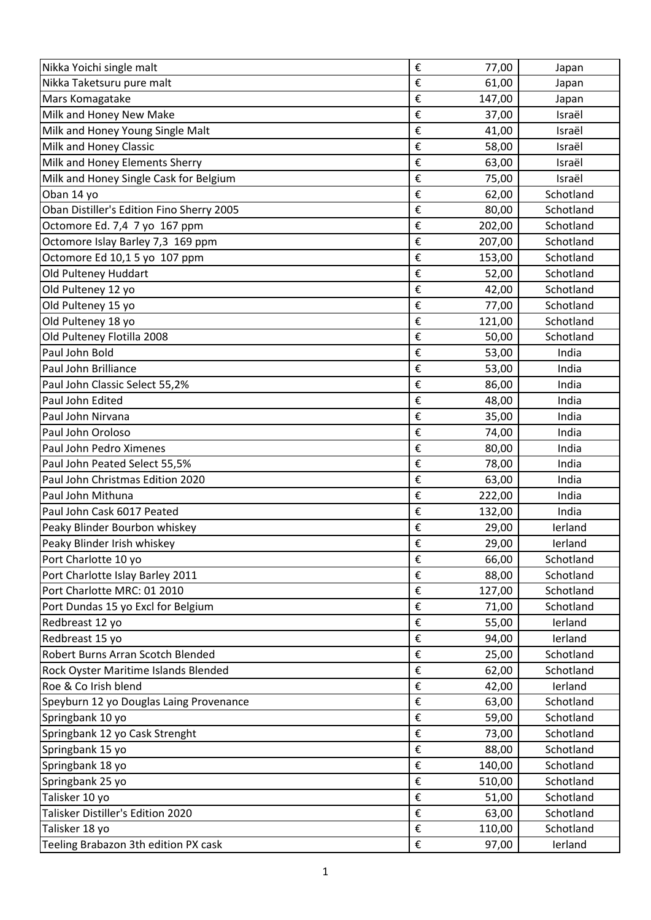| Nikka Yoichi single malt                  | €                       | 77,00  | Japan     |
|-------------------------------------------|-------------------------|--------|-----------|
| Nikka Taketsuru pure malt                 | €                       | 61,00  | Japan     |
| Mars Komagatake                           | €                       | 147,00 | Japan     |
| Milk and Honey New Make                   | €                       | 37,00  | Israël    |
| Milk and Honey Young Single Malt          | €                       | 41,00  | Israël    |
| Milk and Honey Classic                    | €                       | 58,00  | Israël    |
| Milk and Honey Elements Sherry            | €                       | 63,00  | Israël    |
| Milk and Honey Single Cask for Belgium    | €                       | 75,00  | Israël    |
| Oban 14 yo                                | €                       | 62,00  | Schotland |
| Oban Distiller's Edition Fino Sherry 2005 | €                       | 80,00  | Schotland |
| Octomore Ed. 7,4 7 yo 167 ppm             | €                       | 202,00 | Schotland |
| Octomore Islay Barley 7,3 169 ppm         | €                       | 207,00 | Schotland |
| Octomore Ed 10,1 5 yo 107 ppm             | €                       | 153,00 | Schotland |
| Old Pulteney Huddart                      | €                       | 52,00  | Schotland |
| Old Pulteney 12 yo                        | €                       | 42,00  | Schotland |
| Old Pulteney 15 yo                        | €                       | 77,00  | Schotland |
| Old Pulteney 18 yo                        | €                       | 121,00 | Schotland |
| Old Pulteney Flotilla 2008                | €                       | 50,00  | Schotland |
| Paul John Bold                            | €                       | 53,00  | India     |
| Paul John Brilliance                      | €                       | 53,00  | India     |
| Paul John Classic Select 55,2%            | €                       | 86,00  | India     |
| Paul John Edited                          | €                       | 48,00  | India     |
| Paul John Nirvana                         | €                       | 35,00  | India     |
| Paul John Oroloso                         | €                       | 74,00  | India     |
| Paul John Pedro Ximenes                   | €                       | 80,00  | India     |
| Paul John Peated Select 55,5%             | €                       | 78,00  | India     |
| Paul John Christmas Edition 2020          | €                       | 63,00  | India     |
| Paul John Mithuna                         | €                       | 222,00 | India     |
| Paul John Cask 6017 Peated                | €                       | 132,00 | India     |
| Peaky Blinder Bourbon whiskey             | €                       | 29,00  | lerland   |
| Peaky Blinder Irish whiskey               | €                       | 29,00  | lerland   |
| Port Charlotte 10 yo                      | €                       | 66,00  | Schotland |
| Port Charlotte Islay Barley 2011          | €                       | 88,00  | Schotland |
| Port Charlotte MRC: 01 2010               | €                       | 127,00 | Schotland |
| Port Dundas 15 yo Excl for Belgium        | €                       | 71,00  | Schotland |
| Redbreast 12 yo                           | €                       | 55,00  | lerland   |
| Redbreast 15 yo                           | €                       | 94,00  | lerland   |
| Robert Burns Arran Scotch Blended         | €                       | 25,00  | Schotland |
| Rock Oyster Maritime Islands Blended      | €                       | 62,00  | Schotland |
| Roe & Co Irish blend                      | €                       | 42,00  | lerland   |
| Speyburn 12 yo Douglas Laing Provenance   | €                       | 63,00  | Schotland |
| Springbank 10 yo                          | €                       | 59,00  | Schotland |
| Springbank 12 yo Cask Strenght            | €                       | 73,00  | Schotland |
| Springbank 15 yo                          | €                       | 88,00  | Schotland |
| Springbank 18 yo                          | €                       | 140,00 | Schotland |
| Springbank 25 yo                          | €                       | 510,00 | Schotland |
| Talisker 10 yo                            | €                       | 51,00  | Schotland |
| Talisker Distiller's Edition 2020         | €                       | 63,00  | Schotland |
| Talisker 18 yo                            | €                       | 110,00 | Schotland |
| Teeling Brabazon 3th edition PX cask      | $\boldsymbol{\epsilon}$ | 97,00  | lerland   |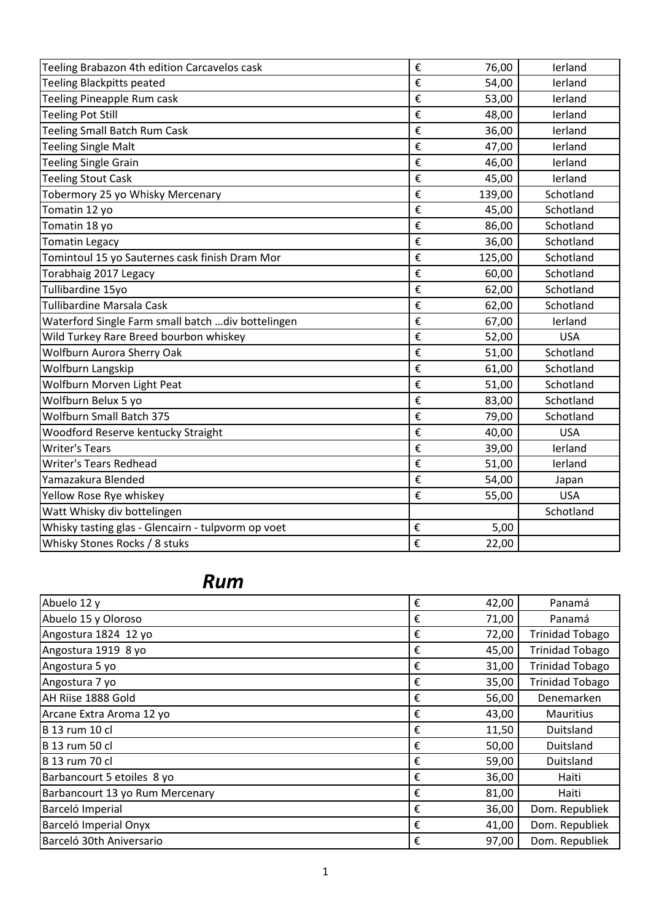| Teeling Brabazon 4th edition Carcavelos cask       | € | 76,00  | lerland    |
|----------------------------------------------------|---|--------|------------|
| <b>Teeling Blackpitts peated</b>                   | € | 54,00  | lerland    |
| Teeling Pineapple Rum cask                         | € | 53,00  | lerland    |
| <b>Teeling Pot Still</b>                           | € | 48,00  | lerland    |
| <b>Teeling Small Batch Rum Cask</b>                | € | 36,00  | lerland    |
| <b>Teeling Single Malt</b>                         | € | 47,00  | lerland    |
| <b>Teeling Single Grain</b>                        | € | 46,00  | lerland    |
| <b>Teeling Stout Cask</b>                          | € | 45,00  | lerland    |
| Tobermory 25 yo Whisky Mercenary                   | € | 139,00 | Schotland  |
| Tomatin 12 yo                                      | € | 45,00  | Schotland  |
| Tomatin 18 yo                                      | € | 86,00  | Schotland  |
| <b>Tomatin Legacy</b>                              | € | 36,00  | Schotland  |
| Tomintoul 15 yo Sauternes cask finish Dram Mor     | € | 125,00 | Schotland  |
| Torabhaig 2017 Legacy                              | € | 60,00  | Schotland  |
| Tullibardine 15yo                                  | € | 62,00  | Schotland  |
| <b>Tullibardine Marsala Cask</b>                   | € | 62,00  | Schotland  |
| Waterford Single Farm small batch  div bottelingen | € | 67,00  | lerland    |
| Wild Turkey Rare Breed bourbon whiskey             | € | 52,00  | <b>USA</b> |
| Wolfburn Aurora Sherry Oak                         | € | 51,00  | Schotland  |
| Wolfburn Langskip                                  | € | 61,00  | Schotland  |
| Wolfburn Morven Light Peat                         | € | 51,00  | Schotland  |
| Wolfburn Belux 5 yo                                | € | 83,00  | Schotland  |
| <b>Wolfburn Small Batch 375</b>                    | € | 79,00  | Schotland  |
| Woodford Reserve kentucky Straight                 | € | 40,00  | <b>USA</b> |
| <b>Writer's Tears</b>                              | € | 39,00  | lerland    |
| <b>Writer's Tears Redhead</b>                      | € | 51,00  | lerland    |
| Yamazakura Blended                                 | € | 54,00  | Japan      |
| Yellow Rose Rye whiskey                            | € | 55,00  | <b>USA</b> |
| Watt Whisky div bottelingen                        |   |        | Schotland  |
| Whisky tasting glas - Glencairn - tulpvorm op voet | € | 5,00   |            |
| Whisky Stones Rocks / 8 stuks                      | € | 22,00  |            |

## *Rum*

| Abuelo 12 y                     | € | 42,00 | Panamá                 |
|---------------------------------|---|-------|------------------------|
| Abuelo 15 y Oloroso             | € | 71,00 | Panamá                 |
| Angostura 1824 12 yo            | € | 72,00 | <b>Trinidad Tobago</b> |
| Angostura 1919 8 yo             | € | 45,00 | <b>Trinidad Tobago</b> |
| Angostura 5 yo                  | € | 31,00 | <b>Trinidad Tobago</b> |
| Angostura 7 yo                  | € | 35,00 | <b>Trinidad Tobago</b> |
| AH Riise 1888 Gold              | € | 56,00 | Denemarken             |
| Arcane Extra Aroma 12 yo        | € | 43,00 | <b>Mauritius</b>       |
| <b>B</b> 13 rum 10 cl           | € | 11,50 | Duitsland              |
| <b>B</b> 13 rum 50 cl           | € | 50,00 | Duitsland              |
| <b>B</b> 13 rum 70 cl           | € | 59,00 | Duitsland              |
| Barbancourt 5 etoiles 8 yo      | € | 36,00 | Haiti                  |
| Barbancourt 13 yo Rum Mercenary | € | 81,00 | Haiti                  |
| Barceló Imperial                | € | 36,00 | Dom. Republiek         |
| Barceló Imperial Onyx           | € | 41,00 | Dom. Republiek         |
| Barceló 30th Aniversario        | € | 97,00 | Dom. Republiek         |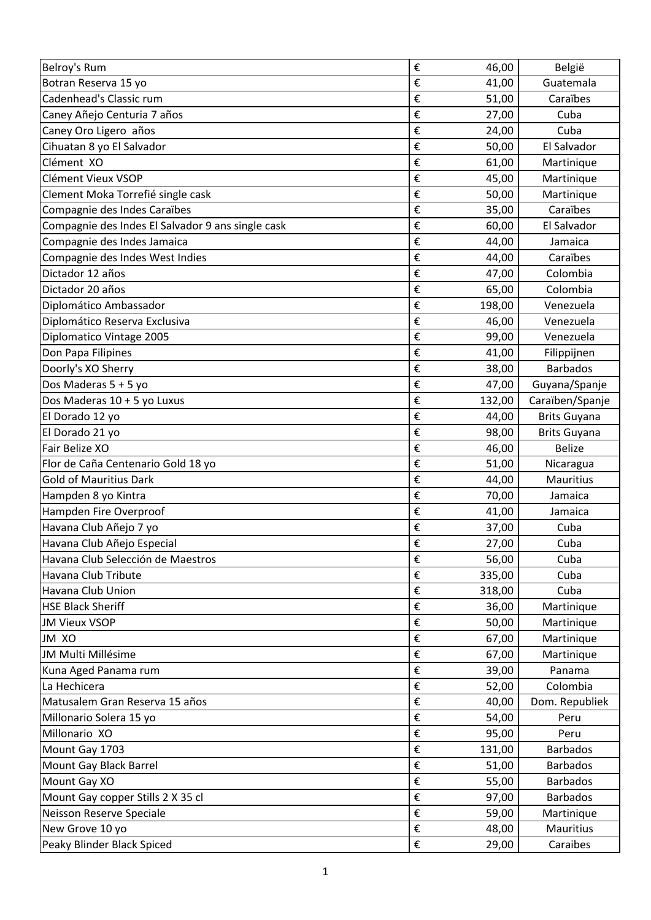| Belroy's Rum                                      | € | 46,00  | België              |
|---------------------------------------------------|---|--------|---------------------|
| Botran Reserva 15 yo                              | € | 41,00  | Guatemala           |
| Cadenhead's Classic rum                           | € | 51,00  | Caraïbes            |
| Caney Añejo Centuria 7 años                       | € | 27,00  | Cuba                |
| Caney Oro Ligero años                             | € | 24,00  | Cuba                |
| Cihuatan 8 yo El Salvador                         | € | 50,00  | El Salvador         |
| Clément XO                                        | € | 61,00  | Martinique          |
| Clément Vieux VSOP                                | € | 45,00  | Martinique          |
| Clement Moka Torrefié single cask                 | € | 50,00  | Martinique          |
| Compagnie des Indes Caraïbes                      | € | 35,00  | Caraïbes            |
| Compagnie des Indes El Salvador 9 ans single cask | € | 60,00  | El Salvador         |
| Compagnie des Indes Jamaica                       | € | 44,00  | Jamaica             |
| Compagnie des Indes West Indies                   | € | 44,00  | Caraïbes            |
| Dictador 12 años                                  | € | 47,00  | Colombia            |
| Dictador 20 años                                  | € | 65,00  | Colombia            |
| Diplomático Ambassador                            | € | 198,00 | Venezuela           |
| Diplomático Reserva Exclusiva                     | € | 46,00  | Venezuela           |
| Diplomatico Vintage 2005                          | € | 99,00  | Venezuela           |
| Don Papa Filipines                                | € | 41,00  | Filippijnen         |
| Doorly's XO Sherry                                | € | 38,00  | <b>Barbados</b>     |
| Dos Maderas 5 + 5 yo                              | € | 47,00  | Guyana/Spanje       |
| Dos Maderas 10 + 5 yo Luxus                       | € | 132,00 | Caraïben/Spanje     |
| El Dorado 12 yo                                   | € | 44,00  | <b>Brits Guyana</b> |
| El Dorado 21 yo                                   | € | 98,00  | <b>Brits Guyana</b> |
| Fair Belize XO                                    | € | 46,00  | <b>Belize</b>       |
|                                                   |   |        |                     |
| Flor de Caña Centenario Gold 18 yo                | € | 51,00  | Nicaragua           |
| <b>Gold of Mauritius Dark</b>                     | € | 44,00  | <b>Mauritius</b>    |
| Hampden 8 yo Kintra                               | € | 70,00  | Jamaica             |
| Hampden Fire Overproof                            | € | 41,00  | Jamaica             |
| Havana Club Añejo 7 yo                            | € | 37,00  | Cuba                |
| Havana Club Añejo Especial                        | € | 27,00  | Cuba                |
| Havana Club Selección de Maestros                 | € | 56,00  | Cuba                |
| Havana Club Tribute                               | € | 335,00 | Cuba                |
| Havana Club Union                                 | € | 318,00 | Cuba                |
| <b>HSE Black Sheriff</b>                          | € | 36,00  | Martinique          |
| <b>JM Vieux VSOP</b>                              | € | 50,00  | Martinique          |
| JM XO                                             | € | 67,00  | Martinique          |
| JM Multi Millésime                                | € | 67,00  | Martinique          |
| Kuna Aged Panama rum                              | € | 39,00  | Panama              |
| La Hechicera                                      | € | 52,00  | Colombia            |
| Matusalem Gran Reserva 15 años                    | € | 40,00  | Dom. Republiek      |
| Millonario Solera 15 yo                           | € | 54,00  | Peru                |
| Millonario XO                                     | € | 95,00  | Peru                |
| Mount Gay 1703                                    | € | 131,00 | <b>Barbados</b>     |
| Mount Gay Black Barrel                            | € | 51,00  | <b>Barbados</b>     |
| Mount Gay XO                                      | € | 55,00  | <b>Barbados</b>     |
| Mount Gay copper Stills 2 X 35 cl                 | € | 97,00  | <b>Barbados</b>     |
| Neisson Reserve Speciale                          | € | 59,00  | Martinique          |
| New Grove 10 yo                                   | € | 48,00  | Mauritius           |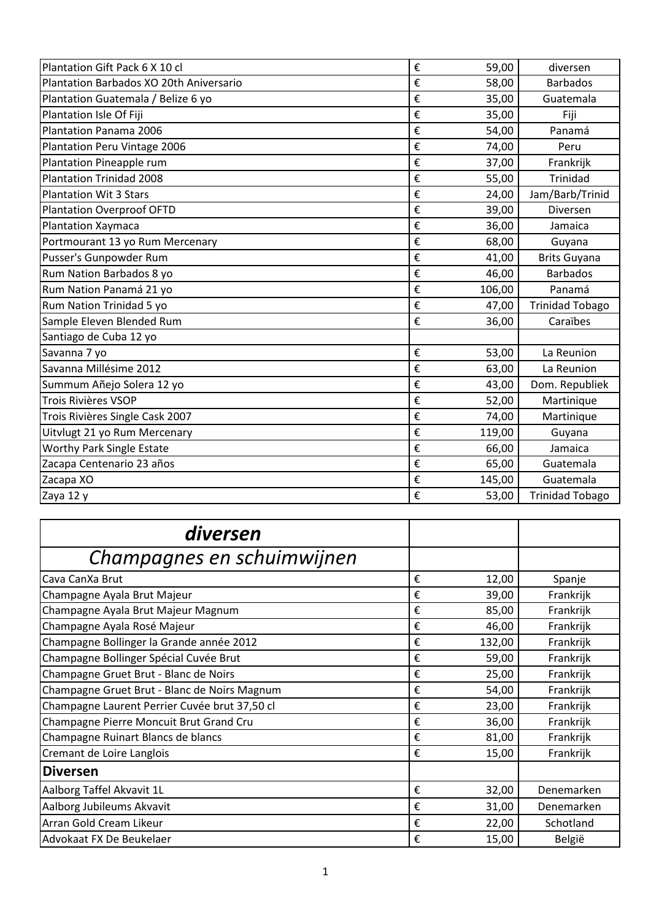| Plantation Gift Pack 6 X 10 cl          | € | 59,00  | diversen               |
|-----------------------------------------|---|--------|------------------------|
| Plantation Barbados XO 20th Aniversario | € | 58,00  | <b>Barbados</b>        |
| Plantation Guatemala / Belize 6 yo      | € | 35,00  | Guatemala              |
| Plantation Isle Of Fiji                 | € | 35,00  | Fiji                   |
| Plantation Panama 2006                  | € | 54,00  | Panamá                 |
| Plantation Peru Vintage 2006            | € | 74,00  | Peru                   |
| Plantation Pineapple rum                | € | 37,00  | Frankrijk              |
| <b>Plantation Trinidad 2008</b>         | € | 55,00  | <b>Trinidad</b>        |
| <b>Plantation Wit 3 Stars</b>           | € | 24,00  | Jam/Barb/Trinid        |
| <b>Plantation Overproof OFTD</b>        | € | 39,00  | Diversen               |
| Plantation Xaymaca                      | € | 36,00  | Jamaica                |
| Portmourant 13 yo Rum Mercenary         | € | 68,00  | Guyana                 |
| Pusser's Gunpowder Rum                  | € | 41,00  | <b>Brits Guyana</b>    |
| Rum Nation Barbados 8 yo                | € | 46,00  | <b>Barbados</b>        |
| Rum Nation Panamá 21 yo                 | € | 106,00 | Panamá                 |
| Rum Nation Trinidad 5 yo                | € | 47,00  | <b>Trinidad Tobago</b> |
| Sample Eleven Blended Rum               | € | 36,00  | Caraïbes               |
| Santiago de Cuba 12 yo                  |   |        |                        |
| Savanna 7 yo                            | € | 53,00  | La Reunion             |
| Savanna Millésime 2012                  | € | 63,00  | La Reunion             |
| Summum Añejo Solera 12 yo               | € | 43,00  | Dom. Republiek         |
| Trois Rivières VSOP                     | € | 52,00  | Martinique             |
| Trois Rivières Single Cask 2007         | € | 74,00  | Martinique             |
| Uitvlugt 21 yo Rum Mercenary            | € | 119,00 | Guyana                 |
| Worthy Park Single Estate               | € | 66,00  | Jamaica                |
| Zacapa Centenario 23 años               | € | 65,00  | Guatemala              |
| Zacapa XO                               | € | 145,00 | Guatemala              |
| Zaya 12 y                               | € | 53,00  | <b>Trinidad Tobago</b> |

| diversen                                      |   |        |            |
|-----------------------------------------------|---|--------|------------|
| Champagnes en schuimwijnen                    |   |        |            |
| Cava CanXa Brut                               | € | 12,00  | Spanje     |
| Champagne Ayala Brut Majeur                   | € | 39,00  | Frankrijk  |
| Champagne Ayala Brut Majeur Magnum            | € | 85,00  | Frankrijk  |
| Champagne Ayala Rosé Majeur                   | € | 46,00  | Frankrijk  |
| Champagne Bollinger la Grande année 2012      | € | 132,00 | Frankrijk  |
| Champagne Bollinger Spécial Cuvée Brut        | € | 59,00  | Frankrijk  |
| Champagne Gruet Brut - Blanc de Noirs         | € | 25,00  | Frankrijk  |
| Champagne Gruet Brut - Blanc de Noirs Magnum  | € | 54,00  | Frankrijk  |
| Champagne Laurent Perrier Cuvée brut 37,50 cl | € | 23,00  | Frankrijk  |
| Champagne Pierre Moncuit Brut Grand Cru       | € | 36,00  | Frankrijk  |
| Champagne Ruinart Blancs de blancs            | € | 81,00  | Frankrijk  |
| Cremant de Loire Langlois                     | € | 15,00  | Frankrijk  |
| <b>Diversen</b>                               |   |        |            |
| Aalborg Taffel Akvavit 1L                     | € | 32,00  | Denemarken |
| Aalborg Jubileums Akvavit                     | € | 31,00  | Denemarken |
| Arran Gold Cream Likeur                       | € | 22,00  | Schotland  |
| Advokaat FX De Beukelaer                      | € | 15,00  | België     |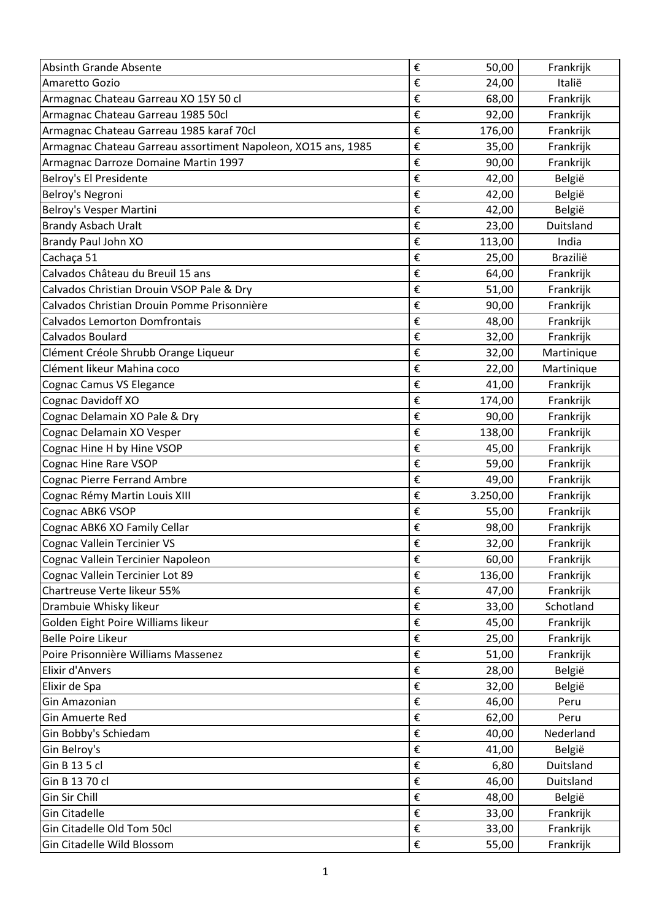| <b>Absinth Grande Absente</b>                                 | € | 50,00    | Frankrijk  |
|---------------------------------------------------------------|---|----------|------------|
| Amaretto Gozio                                                | € | 24,00    | Italië     |
| Armagnac Chateau Garreau XO 15Y 50 cl                         | € | 68,00    | Frankrijk  |
| Armagnac Chateau Garreau 1985 50cl                            | € | 92,00    | Frankrijk  |
| Armagnac Chateau Garreau 1985 karaf 70cl                      | € | 176,00   | Frankrijk  |
| Armagnac Chateau Garreau assortiment Napoleon, XO15 ans, 1985 | € | 35,00    | Frankrijk  |
| Armagnac Darroze Domaine Martin 1997                          | € | 90,00    | Frankrijk  |
| Belroy's El Presidente                                        | € | 42,00    | België     |
| Belroy's Negroni                                              | € | 42,00    | België     |
| Belroy's Vesper Martini                                       | € | 42,00    | België     |
| <b>Brandy Asbach Uralt</b>                                    | € | 23,00    | Duitsland  |
| Brandy Paul John XO                                           | € | 113,00   | India      |
| Cachaça 51                                                    | € | 25,00    | Brazilië   |
| Calvados Château du Breuil 15 ans                             | € | 64,00    | Frankrijk  |
| Calvados Christian Drouin VSOP Pale & Dry                     | € | 51,00    | Frankrijk  |
| Calvados Christian Drouin Pomme Prisonnière                   | € | 90,00    | Frankrijk  |
| <b>Calvados Lemorton Domfrontais</b>                          | € | 48,00    | Frankrijk  |
| Calvados Boulard                                              | € | 32,00    | Frankrijk  |
| Clément Créole Shrubb Orange Liqueur                          | € | 32,00    | Martinique |
| Clément likeur Mahina coco                                    | € | 22,00    | Martinique |
| Cognac Camus VS Elegance                                      | € | 41,00    | Frankrijk  |
| Cognac Davidoff XO                                            | € | 174,00   | Frankrijk  |
| Cognac Delamain XO Pale & Dry                                 | € | 90,00    | Frankrijk  |
| Cognac Delamain XO Vesper                                     | € | 138,00   | Frankrijk  |
| Cognac Hine H by Hine VSOP                                    | € | 45,00    | Frankrijk  |
| <b>Cognac Hine Rare VSOP</b>                                  | € | 59,00    | Frankrijk  |
| <b>Cognac Pierre Ferrand Ambre</b>                            | € | 49,00    | Frankrijk  |
| Cognac Rémy Martin Louis XIII                                 | € | 3.250,00 | Frankrijk  |
| Cognac ABK6 VSOP                                              | € | 55,00    | Frankrijk  |
| Cognac ABK6 XO Family Cellar                                  | € | 98,00    | Frankrijk  |
| <b>Cognac Vallein Tercinier VS</b>                            | € | 32,00    | Frankrijk  |
| Cognac Vallein Tercinier Napoleon                             | € | 60,00    | Frankrijk  |
| Cognac Vallein Tercinier Lot 89                               | € | 136,00   | Frankrijk  |
| Chartreuse Verte likeur 55%                                   | € | 47,00    | Frankrijk  |
| Drambuie Whisky likeur                                        | € | 33,00    | Schotland  |
| Golden Eight Poire Williams likeur                            | € | 45,00    | Frankrijk  |
| <b>Belle Poire Likeur</b>                                     | € | 25,00    | Frankrijk  |
| Poire Prisonnière Williams Massenez                           | € | 51,00    | Frankrijk  |
| <b>Elixir d'Anvers</b>                                        | € | 28,00    | België     |
| Elixir de Spa                                                 | € | 32,00    | België     |
| Gin Amazonian                                                 | € | 46,00    | Peru       |
| <b>Gin Amuerte Red</b>                                        | € | 62,00    | Peru       |
| Gin Bobby's Schiedam                                          | € | 40,00    | Nederland  |
| Gin Belroy's                                                  | € | 41,00    | België     |
| Gin B 13 5 cl                                                 | € | 6,80     | Duitsland  |
| Gin B 13 70 cl                                                | € | 46,00    | Duitsland  |
| Gin Sir Chill                                                 | € | 48,00    | België     |
| <b>Gin Citadelle</b>                                          | € | 33,00    | Frankrijk  |
| Gin Citadelle Old Tom 50cl                                    | € | 33,00    | Frankrijk  |
| Gin Citadelle Wild Blossom                                    | € | 55,00    | Frankrijk  |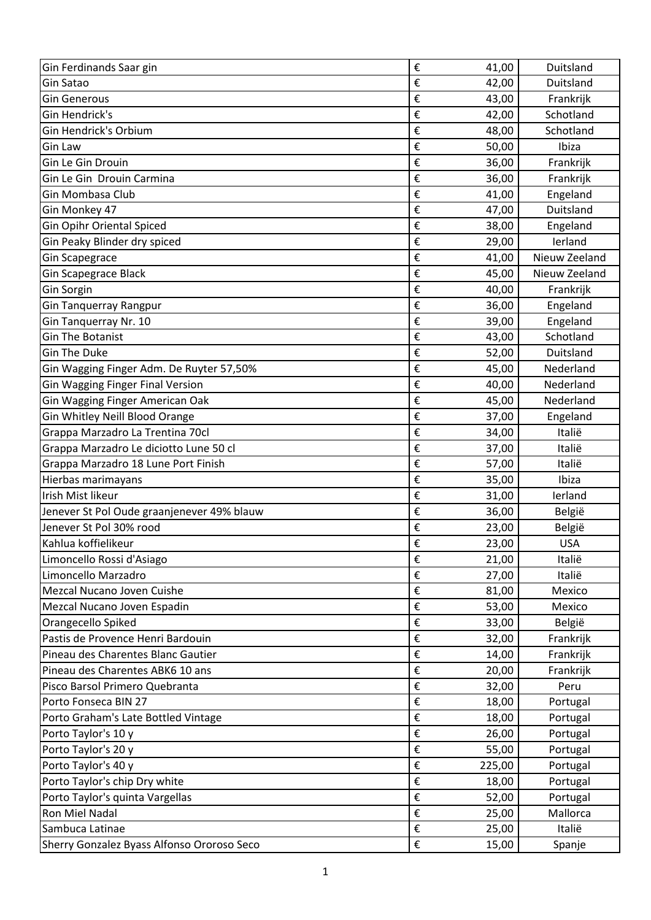| Gin Ferdinands Saar gin                    | € | 41,00  | Duitsland     |
|--------------------------------------------|---|--------|---------------|
| Gin Satao                                  | € | 42,00  | Duitsland     |
| <b>Gin Generous</b>                        | € | 43,00  | Frankrijk     |
| Gin Hendrick's                             | € | 42,00  | Schotland     |
| Gin Hendrick's Orbium                      | € | 48,00  | Schotland     |
| <b>Gin Law</b>                             | € | 50,00  | Ibiza         |
| Gin Le Gin Drouin                          | € | 36,00  | Frankrijk     |
| Gin Le Gin Drouin Carmina                  | € | 36,00  | Frankrijk     |
| Gin Mombasa Club                           | € | 41,00  | Engeland      |
| Gin Monkey 47                              | € | 47,00  | Duitsland     |
| <b>Gin Opihr Oriental Spiced</b>           | € | 38,00  | Engeland      |
| Gin Peaky Blinder dry spiced               | € | 29,00  | lerland       |
| <b>Gin Scapegrace</b>                      | € | 41,00  | Nieuw Zeeland |
| <b>Gin Scapegrace Black</b>                | € | 45,00  | Nieuw Zeeland |
| Gin Sorgin                                 | € | 40,00  | Frankrijk     |
| <b>Gin Tanquerray Rangpur</b>              | € | 36,00  | Engeland      |
| Gin Tanquerray Nr. 10                      | € | 39,00  | Engeland      |
| <b>Gin The Botanist</b>                    | € | 43,00  | Schotland     |
| <b>Gin The Duke</b>                        | € | 52,00  | Duitsland     |
| Gin Wagging Finger Adm. De Ruyter 57,50%   | € | 45,00  | Nederland     |
| <b>Gin Wagging Finger Final Version</b>    | € | 40,00  | Nederland     |
| Gin Wagging Finger American Oak            | € | 45,00  | Nederland     |
| Gin Whitley Neill Blood Orange             | € | 37,00  | Engeland      |
| Grappa Marzadro La Trentina 70cl           | € | 34,00  | Italië        |
| Grappa Marzadro Le diciotto Lune 50 cl     | € | 37,00  | Italië        |
| Grappa Marzadro 18 Lune Port Finish        | € | 57,00  | Italië        |
| Hierbas marimayans                         | € | 35,00  | Ibiza         |
| Irish Mist likeur                          | € | 31,00  | lerland       |
| Jenever St Pol Oude graanjenever 49% blauw | € | 36,00  | België        |
| Jenever St Pol 30% rood                    | € | 23,00  | België        |
| Kahlua koffielikeur                        | € | 23,00  | <b>USA</b>    |
| Limoncello Rossi d'Asiago                  | € | 21,00  | Italië        |
| Limoncello Marzadro                        | € | 27,00  | Italië        |
| Mezcal Nucano Joven Cuishe                 | € | 81,00  | Mexico        |
| Mezcal Nucano Joven Espadin                | € | 53,00  | Mexico        |
| Orangecello Spiked                         | € | 33,00  | België        |
| Pastis de Provence Henri Bardouin          | € | 32,00  | Frankrijk     |
| Pineau des Charentes Blanc Gautier         | € | 14,00  | Frankrijk     |
| Pineau des Charentes ABK6 10 ans           | € | 20,00  | Frankrijk     |
| Pisco Barsol Primero Quebranta             | € | 32,00  | Peru          |
| Porto Fonseca BIN 27                       | € | 18,00  | Portugal      |
| Porto Graham's Late Bottled Vintage        | € | 18,00  | Portugal      |
| Porto Taylor's 10 y                        | € | 26,00  | Portugal      |
| Porto Taylor's 20 y                        | € | 55,00  | Portugal      |
| Porto Taylor's 40 y                        | € | 225,00 | Portugal      |
| Porto Taylor's chip Dry white              | € | 18,00  | Portugal      |
| Porto Taylor's quinta Vargellas            | € | 52,00  | Portugal      |
| Ron Miel Nadal                             | € | 25,00  | Mallorca      |
| Sambuca Latinae                            | € | 25,00  | Italië        |
| Sherry Gonzalez Byass Alfonso Ororoso Seco | € | 15,00  | Spanje        |